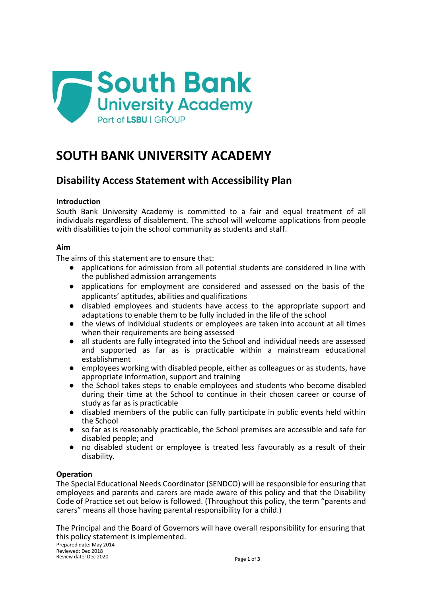

# **SOUTH BANK UNIVERSITY ACADEMY**

# **Disability Access Statement with Accessibility Plan**

## **Introduction**

South Bank University Academy is committed to a fair and equal treatment of all individuals regardless of disablement. The school will welcome applications from people with disabilities to join the school community as students and staff.

## **Aim**

The aims of this statement are to ensure that:

- applications for admission from all potential students are considered in line with the published admission arrangements
- applications for employment are considered and assessed on the basis of the applicants' aptitudes, abilities and qualifications
- disabled employees and students have access to the appropriate support and adaptations to enable them to be fully included in the life of the school
- the views of individual students or employees are taken into account at all times when their requirements are being assessed
- all students are fully integrated into the School and individual needs are assessed and supported as far as is practicable within a mainstream educational establishment
- employees working with disabled people, either as colleagues or as students, have appropriate information, support and training
- the School takes steps to enable employees and students who become disabled during their time at the School to continue in their chosen career or course of study as far as is practicable
- disabled members of the public can fully participate in public events held within the School
- so far as is reasonably practicable, the School premises are accessible and safe for disabled people; and
- no disabled student or employee is treated less favourably as a result of their disability.

#### **Operation**

The Special Educational Needs Coordinator (SENDCO) will be responsible for ensuring that employees and parents and carers are made aware of this policy and that the Disability Code of Practice set out below is followed. (Throughout this policy, the term "parents and carers" means all those having parental responsibility for a child.)

The Principal and the Board of Governors will have overall responsibility for ensuring that this policy statement is implemented.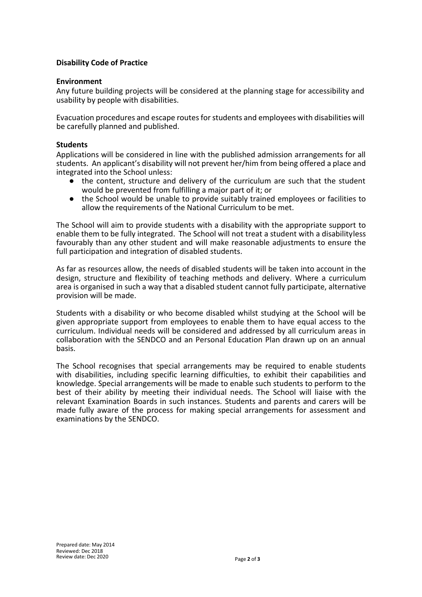#### **Disability Code of Practice**

#### **Environment**

Any future building projects will be considered at the planning stage for accessibility and usability by people with disabilities.

Evacuation procedures and escape routesforstudents and employees with disabilities will be carefully planned and published.

#### **Students**

Applications will be considered in line with the published admission arrangements for all students. An applicant's disability will not prevent her/him from being offered a place and integrated into the School unless:

- the content, structure and delivery of the curriculum are such that the student would be prevented from fulfilling a major part of it; or
- the School would be unable to provide suitably trained employees or facilities to allow the requirements of the National Curriculum to be met.

The School will aim to provide students with a disability with the appropriate support to enable them to be fully integrated. The School will not treat a student with a disabilityless favourably than any other student and will make reasonable adjustments to ensure the full participation and integration of disabled students.

As far as resources allow, the needs of disabled students will be taken into account in the design, structure and flexibility of teaching methods and delivery. Where a curriculum area is organised in such a way that a disabled student cannot fully participate, alternative provision will be made.

Students with a disability or who become disabled whilst studying at the School will be given appropriate support from employees to enable them to have equal access to the curriculum. Individual needs will be considered and addressed by all curriculum areas in collaboration with the SENDCO and an Personal Education Plan drawn up on an annual basis.

The School recognises that special arrangements may be required to enable students with disabilities, including specific learning difficulties, to exhibit their capabilities and knowledge. Special arrangements will be made to enable such students to perform to the best of their ability by meeting their individual needs. The School will liaise with the relevant Examination Boards in such instances. Students and parents and carers will be made fully aware of the process for making special arrangements for assessment and examinations by the SENDCO.